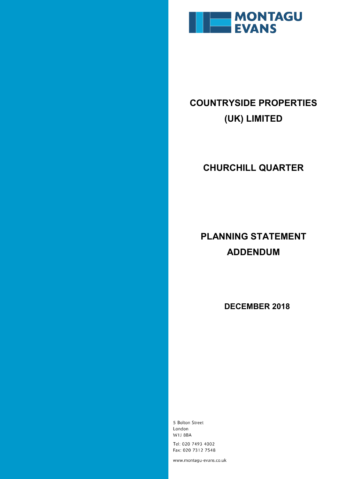

# **COUNTRYSIDE PROPERTIES (UK) LIMITED**

### **CHURCHILL QUARTER**

## **PLANNING STATEMENT ADDENDUM**

 **DECEMBER 2018**

5 Bolton Street London **W1J 8BA** Tel: 020 7493 4002 Fax: 020 7312 7548

www.montagu-evans.co.uk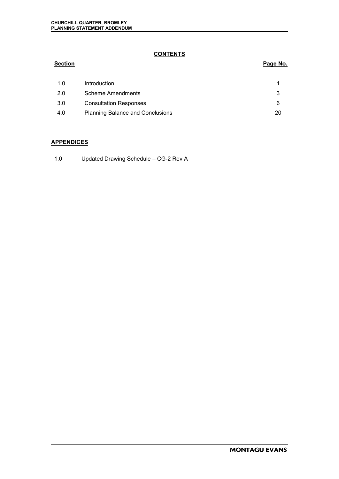### **CONTENTS**

### **Section Page No.**

| 1.0 | Introduction                            |    |
|-----|-----------------------------------------|----|
| 2.0 | Scheme Amendments                       |    |
| 3.0 | <b>Consultation Responses</b>           |    |
| 4.0 | <b>Planning Balance and Conclusions</b> | 20 |

#### **APPENDICES**

1.0 Updated Drawing Schedule – CG-2 Rev A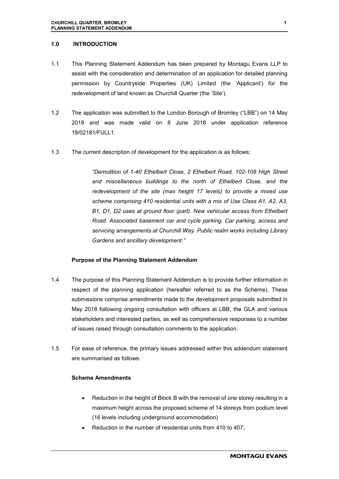#### **1.0 INTRODUCTION**

- 1.1 This Planning Statement Addendum has been prepared by Montagu Evans LLP to assist with the consideration and determination of an application for detailed planning permission by Countryside Properties (UK) Limited (the 'Applicant') for the redevelopment of land known as Churchill Quarter (the 'Site').
- 1.2 The application was submitted to the London Borough of Bromley ("LBB") on 14 May 2018 and was made valid on 8 June 2018 under application reference 18/02181/FULL1.
- 1.3 The current description of development for the application is as follows:

*"Demolition of 1-40 Ethelbert Close, 2 Ethelbert Road, 102-108 High Street and miscellaneous buildings to the north of Ethelbert Close, and the redevelopment of the site (max height 17 levels) to provide a mixed use scheme comprising 410 residential units with a mix of Use Class A1, A2, A3, B1, D1, D2 uses at ground floor (part). New vehicular access from Ethelbert Road. Associated basement car and cycle parking. Car parking, access and servicing arrangements at Churchill Way. Public realm works including Library Gardens and ancillary development."* 

#### **Purpose of the Planning Statement Addendum**

- 1.4 The purpose of this Planning Statement Addendum is to provide further information in respect of the planning application (hereafter referred to as the Scheme). These submissions comprise amendments made to the development proposals submitted in May 2018 following ongoing consultation with officers at LBB, the GLA and various stakeholders and interested parties, as well as comprehensive responses to a number of issues raised through consultation comments to the application.
- 1.5 For ease of reference, the primary issues addressed within this addendum statement are summarised as follows:

#### **Scheme Amendments**

- Reduction in the height of Block B with the removal of one storey resulting in a maximum height across the proposed scheme of 14 storeys from podium level (16 levels including underground accommodation)
- Reduction in the number of residential units from 410 to 407;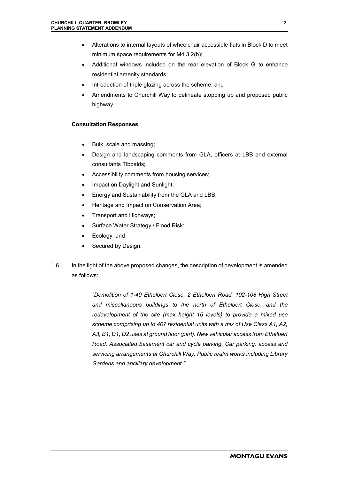- Alterations to internal layouts of wheelchair accessible flats in Block D to meet minimum space requirements for M4 3 2(b);
- Additional windows included on the rear elevation of Block G to enhance residential amenity standards;
- Introduction of triple glazing across the scheme; and
- Amendments to Churchill Way to delineate stopping up and proposed public highway.

#### **Consultation Responses**

- Bulk, scale and massing;
- Design and landscaping comments from GLA, officers at LBB and external consultants Tibbalds;
- Accessibility comments from housing services;
- Impact on Daylight and Sunlight;
- Energy and Sustainability from the GLA and LBB;
- Heritage and Impact on Conservation Area;
- Transport and Highways;
- Surface Water Strategy / Flood Risk;
- Ecology; and
- Secured by Design.
- 1.6 In the light of the above proposed changes, the description of development is amended as follows:

*"Demolition of 1-40 Ethelbert Close, 2 Ethelbert Road, 102-108 High Street and miscellaneous buildings to the north of Ethelbert Close, and the redevelopment of the site (max height 16 levels) to provide a mixed use scheme comprising up to 407 residential units with a mix of Use Class A1, A2, A3, B1, D1, D2 uses at ground floor (part). New vehicular access from Ethelbert Road. Associated basement car and cycle parking. Car parking, access and servicing arrangements at Churchill Way. Public realm works including Library Gardens and ancillary development."*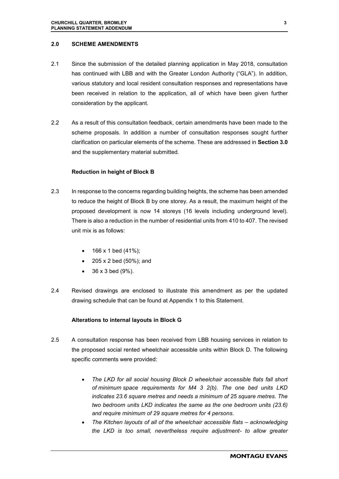#### **2.0 SCHEME AMENDMENTS**

- 2.1 Since the submission of the detailed planning application in May 2018, consultation has continued with LBB and with the Greater London Authority ("GLA"). In addition, various statutory and local resident consultation responses and representations have been received in relation to the application, all of which have been given further consideration by the applicant.
- 2.2 As a result of this consultation feedback, certain amendments have been made to the scheme proposals. In addition a number of consultation responses sought further clarification on particular elements of the scheme. These are addressed in **Section 3.0** and the supplementary material submitted.

#### **Reduction in height of Block B**

- 2.3 In response to the concerns regarding building heights, the scheme has been amended to reduce the height of Block B by one storey. As a result, the maximum height of the proposed development is now 14 storeys (16 levels including underground level). There is also a reduction in the number of residential units from 410 to 407. The revised unit mix is as follows:
	- 166 x 1 bed (41%);
	- 205 x 2 bed (50%); and
	- 36 x 3 bed (9%).
- 2.4 Revised drawings are enclosed to illustrate this amendment as per the updated drawing schedule that can be found at Appendix 1 to this Statement.

#### **Alterations to internal layouts in Block G**

- 2.5 A consultation response has been received from LBB housing services in relation to the proposed social rented wheelchair accessible units within Block D. The following specific comments were provided:
	- *The LKD for all social housing Block D wheelchair accessible flats fall short of minimum space requirements for M4 3 2(b). The one bed units LKD indicates 23.6 square metres and needs a minimum of 25 square metres. The two bedroom units LKD indicates the same as the one bedroom units (23.6) and require minimum of 29 square metres for 4 persons.*
	- *The Kitchen layouts of all of the wheelchair accessible flats acknowledging the LKD is too small, nevertheless require adjustment- to allow greater*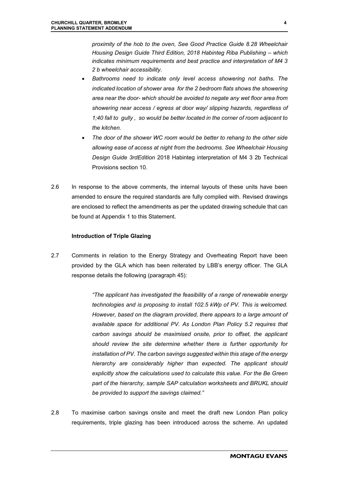*proximity of the hob to the oven, See Good Practice Guide 8.28 Wheelchair Housing Design Guide Third Edition, 2018 Habinteg Riba Publishing – which indicates minimum requirements and best practice and interpretation of M4 3 2 b wheelchair accessibility.* 

- *Bathrooms need to indicate only level access showering not baths. The indicated location of shower area for the 2 bedroom flats shows the showering area near the door- which should be avoided to negate any wet floor area from showering near access / egress at door way/ slipping hazards, regardless of 1;40 fall to gully , so would be better located in the corner of room adjacent to the kitchen.*
- *The door of the shower WC room would be better to rehang to the other side allowing ease of access at night from the bedrooms. See Wheelchair Housing Design Guide 3rdEdition* 2018 Habinteg interpretation of M4 3 2b Technical Provisions section 10.
- 2.6 In response to the above comments, the internal layouts of these units have been amended to ensure the required standards are fully complied with. Revised drawings are enclosed to reflect the amendments as per the updated drawing schedule that can be found at Appendix 1 to this Statement.

#### **Introduction of Triple Glazing**

2.7 Comments in relation to the Energy Strategy and Overheating Report have been provided by the GLA which has been reiterated by LBB's energy officer. The GLA response details the following (paragraph 45):

> *"The applicant has investigated the feasibility of a range of renewable energy technologies and is proposing to install 102.5 kWp of PV. This is welcomed. However, based on the diagram provided, there appears to a large amount of available space for additional PV. As London Plan Policy 5.2 requires that carbon savings should be maximised onsite, prior to offset, the applicant should review the site determine whether there is further opportunity for installation of PV. The carbon savings suggested within this stage of the energy hierarchy are considerably higher than expected. The applicant should explicitly show the calculations used to calculate this value. For the Be Green part of the hierarchy, sample SAP calculation worksheets and BRUKL should be provided to support the savings claimed."*

2.8 To maximise carbon savings onsite and meet the draft new London Plan policy requirements, triple glazing has been introduced across the scheme. An updated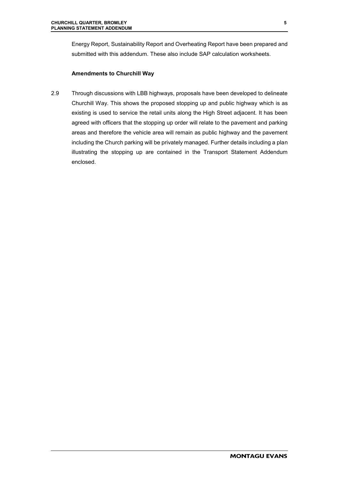Energy Report, Sustainability Report and Overheating Report have been prepared and submitted with this addendum. These also include SAP calculation worksheets.

#### **Amendments to Churchill Way**

2.9 Through discussions with LBB highways, proposals have been developed to delineate Churchill Way. This shows the proposed stopping up and public highway which is as existing is used to service the retail units along the High Street adjacent. It has been agreed with officers that the stopping up order will relate to the pavement and parking areas and therefore the vehicle area will remain as public highway and the pavement including the Church parking will be privately managed. Further details including a plan illustrating the stopping up are contained in the Transport Statement Addendum enclosed.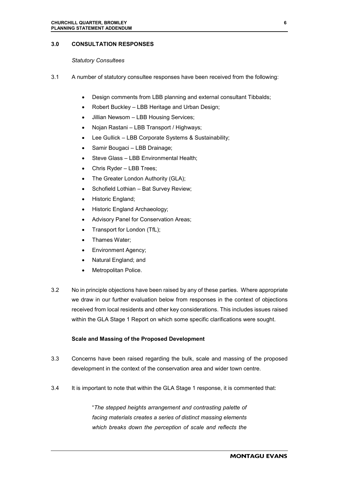#### **3.0 CONSULTATION RESPONSES**

#### *Statutory Consultees*

- 3.1 A number of statutory consultee responses have been received from the following:
	- Design comments from LBB planning and external consultant Tibbalds;
	- Robert Buckley LBB Heritage and Urban Design;
	- Jillian Newsom LBB Housing Services;
	- Nojan Rastani LBB Transport / Highways;
	- Lee Gullick LBB Corporate Systems & Sustainability;
	- Samir Bougaci LBB Drainage;
	- Steve Glass LBB Environmental Health;
	- Chris Ryder LBB Trees;
	- The Greater London Authority (GLA);
	- Schofield Lothian Bat Survey Review;
	- Historic England;
	- Historic England Archaeology;
	- Advisory Panel for Conservation Areas;
	- Transport for London (TfL);
	- Thames Water;
	- Environment Agency;
	- Natural England; and
	- Metropolitan Police.
- 3.2 No in principle objections have been raised by any of these parties. Where appropriate we draw in our further evaluation below from responses in the context of objections received from local residents and other key considerations. This includes issues raised within the GLA Stage 1 Report on which some specific clarifications were sought.

#### **Scale and Massing of the Proposed Development**

- 3.3 Concerns have been raised regarding the bulk, scale and massing of the proposed development in the context of the conservation area and wider town centre.
- 3.4 It is important to note that within the GLA Stage 1 response, it is commented that:

"*The stepped heights arrangement and contrasting palette of facing materials creates a series of distinct massing elements which breaks down the perception of scale and reflects the*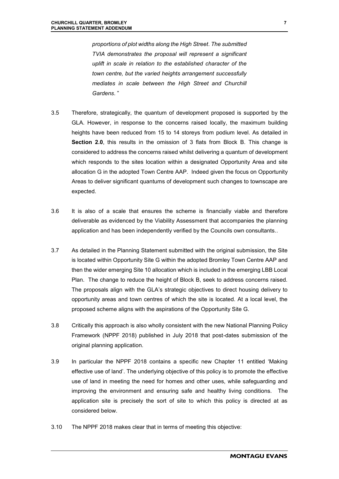*proportions of plot widths along the High Street*. *The submitted TVIA demonstrates the proposal will represent a significant uplift in scale in relation to the established character of the town centre, but the varied heights arrangement successfully mediates in scale between the High Street and Churchill Gardens*. "

- 3.5 Therefore, strategically, the quantum of development proposed is supported by the GLA. However, in response to the concerns raised locally, the maximum building heights have been reduced from 15 to 14 storeys from podium level. As detailed in **Section 2.0**, this results in the omission of 3 flats from Block B. This change is considered to address the concerns raised whilst delivering a quantum of development which responds to the sites location within a designated Opportunity Area and site allocation G in the adopted Town Centre AAP. Indeed given the focus on Opportunity Areas to deliver significant quantums of development such changes to townscape are expected.
- 3.6 It is also of a scale that ensures the scheme is financially viable and therefore deliverable as evidenced by the Viability Assessment that accompanies the planning application and has been independently verified by the Councils own consultants..
- 3.7 As detailed in the Planning Statement submitted with the original submission, the Site is located within Opportunity Site G within the adopted Bromley Town Centre AAP and then the wider emerging Site 10 allocation which is included in the emerging LBB Local Plan. The change to reduce the height of Block B, seek to address concerns raised. The proposals align with the GLA's strategic objectives to direct housing delivery to opportunity areas and town centres of which the site is located. At a local level, the proposed scheme aligns with the aspirations of the Opportunity Site G.
- 3.8 Critically this approach is also wholly consistent with the new National Planning Policy Framework (NPPF 2018) published in July 2018 that post-dates submission of the original planning application.
- 3.9 In particular the NPPF 2018 contains a specific new Chapter 11 entitled 'Making effective use of land'. The underlying objective of this policy is to promote the effective use of land in meeting the need for homes and other uses, while safeguarding and improving the environment and ensuring safe and healthy living conditions. The application site is precisely the sort of site to which this policy is directed at as considered below.
- 3.10 The NPPF 2018 makes clear that in terms of meeting this objective: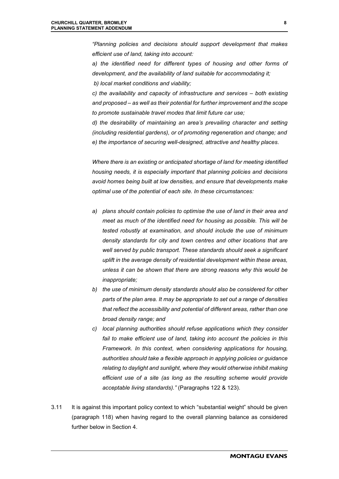*"Planning policies and decisions should support development that makes efficient use of land, taking into account:* 

*a) the identified need for different types of housing and other forms of development, and the availability of land suitable for accommodating it; b) local market conditions and viability;* 

*c) the availability and capacity of infrastructure and services – both existing and proposed – as well as their potential for further improvement and the scope to promote sustainable travel modes that limit future car use;* 

*d) the desirability of maintaining an area's prevailing character and setting (including residential gardens), or of promoting regeneration and change; and e) the importance of securing well-designed, attractive and healthy places.* 

*Where there is an existing or anticipated shortage of land for meeting identified housing needs, it is especially important that planning policies and decisions avoid homes being built at low densities, and ensure that developments make optimal use of the potential of each site. In these circumstances:* 

- *a) plans should contain policies to optimise the use of land in their area and meet as much of the identified need for housing as possible. This will be tested robustly at examination, and should include the use of minimum density standards for city and town centres and other locations that are well served by public transport. These standards should seek a significant uplift in the average density of residential development within these areas, unless it can be shown that there are strong reasons why this would be inappropriate;*
- *b) the use of minimum density standards should also be considered for other parts of the plan area. It may be appropriate to set out a range of densities that reflect the accessibility and potential of different areas, rather than one broad density range; and*
- *c) local planning authorities should refuse applications which they consider fail to make efficient use of land, taking into account the policies in this Framework. In this context, when considering applications for housing, authorities should take a flexible approach in applying policies or guidance relating to daylight and sunlight, where they would otherwise inhibit making efficient use of a site (as long as the resulting scheme would provide acceptable living standards)."* (Paragraphs 122 & 123).
- 3.11 It is against this important policy context to which "substantial weight" should be given (paragraph 118) when having regard to the overall planning balance as considered further below in Section 4.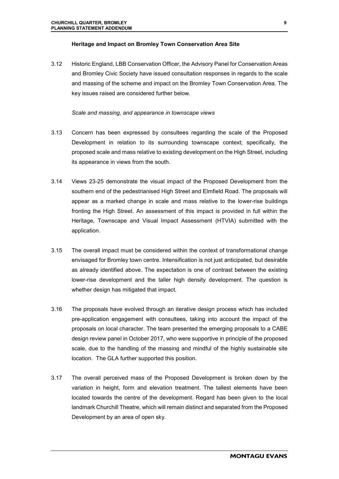#### **Heritage and Impact on Bromley Town Conservation Area Site**

3.12 Historic England, LBB Conservation Officer, the Advisory Panel for Conservation Areas and Bromley Civic Society have issued consultation responses in regards to the scale and massing of the scheme and impact on the Bromley Town Conservation Area. The key issues raised are considered further below.

#### *Scale and massing, and appearance in townscape views*

- 3.13 Concern has been expressed by consultees regarding the scale of the Proposed Development in relation to its surrounding townscape context; specifically, the proposed scale and mass relative to existing development on the High Street, including its appearance in views from the south.
- 3.14 Views 23-25 demonstrate the visual impact of the Proposed Development from the southern end of the pedestrianised High Street and Elmfield Road. The proposals will appear as a marked change in scale and mass relative to the lower-rise buildings fronting the High Street. An assessment of this impact is provided in full within the Heritage, Townscape and Visual Impact Assessment (HTVIA) submitted with the application.
- 3.15 The overall impact must be considered within the context of transformational change envisaged for Bromley town centre. Intensification is not just anticipated, but desirable as already identified above. The expectation is one of contrast between the existing lower-rise development and the taller high density development. The question is whether design has mitigated that impact.
- 3.16 The proposals have evolved through an iterative design process which has included pre-application engagement with consultees, taking into account the impact of the proposals on local character. The team presented the emerging proposals to a CABE design review panel in October 2017, who were supportive in principle of the proposed scale, due to the handling of the massing and mindful of the highly sustainable site location. The GLA further supported this position.
- 3.17 The overall perceived mass of the Proposed Development is broken down by the variation in height, form and elevation treatment. The tallest elements have been located towards the centre of the development. Regard has been given to the local landmark Churchill Theatre, which will remain distinct and separated from the Proposed Development by an area of open sky.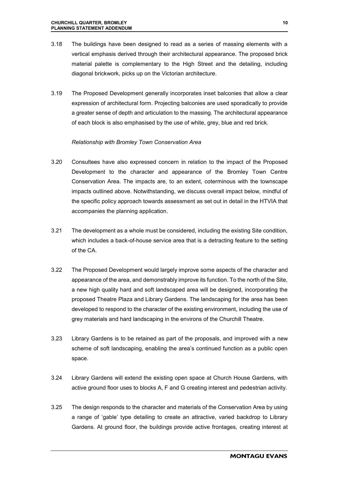- 3.18 The buildings have been designed to read as a series of massing elements with a vertical emphasis derived through their architectural appearance. The proposed brick material palette is complementary to the High Street and the detailing, including diagonal brickwork, picks up on the Victorian architecture.
- 3.19 The Proposed Development generally incorporates inset balconies that allow a clear expression of architectural form. Projecting balconies are used sporadically to provide a greater sense of depth and articulation to the massing. The architectural appearance of each block is also emphasised by the use of white, grey, blue and red brick.

#### *Relationship with Bromley Town Conservation Area*

- 3.20 Consultees have also expressed concern in relation to the impact of the Proposed Development to the character and appearance of the Bromley Town Centre Conservation Area. The impacts are, to an extent, coterminous with the townscape impacts outlined above. Notwithstanding, we discuss overall impact below, mindful of the specific policy approach towards assessment as set out in detail in the HTVIA that accompanies the planning application.
- 3.21 The development as a whole must be considered, including the existing Site condition, which includes a back-of-house service area that is a detracting feature to the setting of the CA.
- 3.22 The Proposed Development would largely improve some aspects of the character and appearance of the area, and demonstrably improve its function. To the north of the Site, a new high quality hard and soft landscaped area will be designed, incorporating the proposed Theatre Plaza and Library Gardens. The landscaping for the area has been developed to respond to the character of the existing environment, including the use of grey materials and hard landscaping in the environs of the Churchill Theatre.
- 3.23 Library Gardens is to be retained as part of the proposals, and improved with a new scheme of soft landscaping, enabling the area's continued function as a public open space.
- 3.24 Library Gardens will extend the existing open space at Church House Gardens, with active ground floor uses to blocks A, F and G creating interest and pedestrian activity.
- 3.25 The design responds to the character and materials of the Conservation Area by using a range of 'gable' type detailing to create an attractive, varied backdrop to Library Gardens. At ground floor, the buildings provide active frontages, creating interest at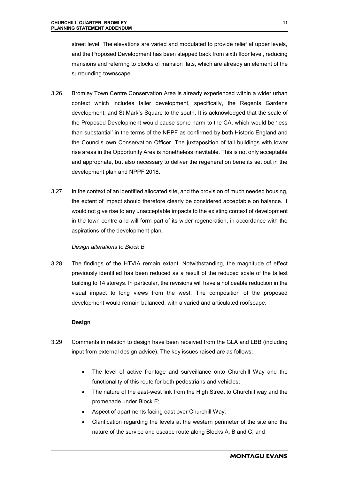street level. The elevations are varied and modulated to provide relief at upper levels, and the Proposed Development has been stepped back from sixth floor level, reducing mansions and referring to blocks of mansion flats, which are already an element of the surrounding townscape.

- 3.26 Bromley Town Centre Conservation Area is already experienced within a wider urban context which includes taller development, specifically, the Regents Gardens development, and St Mark's Square to the south. It is acknowledged that the scale of the Proposed Development would cause some harm to the CA, which would be 'less than substantial' in the terms of the NPPF as confirmed by both Historic England and the Councils own Conservation Officer. The juxtaposition of tall buildings with lower rise areas in the Opportunity Area is nonetheless inevitable. This is not only acceptable and appropriate, but also necessary to deliver the regeneration benefits set out in the development plan and NPPF 2018.
- 3.27 In the context of an identified allocated site, and the provision of much needed housing, the extent of impact should therefore clearly be considered acceptable on balance. It would not give rise to any unacceptable impacts to the existing context of development in the town centre and will form part of its wider regeneration, in accordance with the aspirations of the development plan.

#### *Design alterations to Block B*

3.28 The findings of the HTVIA remain extant. Notwithstanding, the magnitude of effect previously identified has been reduced as a result of the reduced scale of the tallest building to 14 storeys. In particular, the revisions will have a noticeable reduction in the visual impact to long views from the west. The composition of the proposed development would remain balanced, with a varied and articulated roofscape.

#### **Design**

- 3.29 Comments in relation to design have been received from the GLA and LBB (including input from external design advice). The key issues raised are as follows:
	- The level of active frontage and surveillance onto Churchill Way and the functionality of this route for both pedestrians and vehicles;
	- The nature of the east-west link from the High Street to Churchill way and the promenade under Block E;
	- Aspect of apartments facing east over Churchill Way;
	- Clarification regarding the levels at the western perimeter of the site and the nature of the service and escape route along Blocks A, B and C; and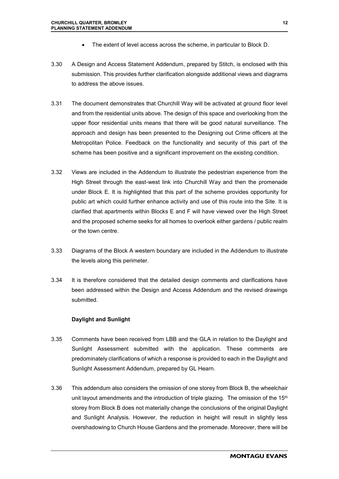- The extent of level access across the scheme, in particular to Block D.
- 3.30 A Design and Access Statement Addendum, prepared by Stitch, is enclosed with this submission. This provides further clarification alongside additional views and diagrams to address the above issues.
- 3.31 The document demonstrates that Churchill Way will be activated at ground floor level and from the residential units above. The design of this space and overlooking from the upper floor residential units means that there will be good natural surveillance. The approach and design has been presented to the Designing out Crime officers at the Metropolitan Police. Feedback on the functionality and security of this part of the scheme has been positive and a significant improvement on the existing condition.
- 3.32 Views are included in the Addendum to illustrate the pedestrian experience from the High Street through the east-west link into Churchill Way and then the promenade under Block E. It is highlighted that this part of the scheme provides opportunity for public art which could further enhance activity and use of this route into the Site. It is clarified that apartments within Blocks E and F will have viewed over the High Street and the proposed scheme seeks for all homes to overlook either gardens / public realm or the town centre.
- 3.33 Diagrams of the Block A western boundary are included in the Addendum to illustrate the levels along this perimeter.
- 3.34 It is therefore considered that the detailed design comments and clarifications have been addressed within the Design and Access Addendum and the revised drawings submitted.

#### **Daylight and Sunlight**

- 3.35 Comments have been received from LBB and the GLA in relation to the Daylight and Sunlight Assessment submitted with the application. These comments are predominately clarifications of which a response is provided to each in the Daylight and Sunlight Assessment Addendum, prepared by GL Hearn.
- 3.36 This addendum also considers the omission of one storey from Block B, the wheelchair unit layout amendments and the introduction of triple glazing. The omission of the  $15<sup>th</sup>$ storey from Block B does not materially change the conclusions of the original Daylight and Sunlight Analysis. However, the reduction in height will result in slightly less overshadowing to Church House Gardens and the promenade. Moreover, there will be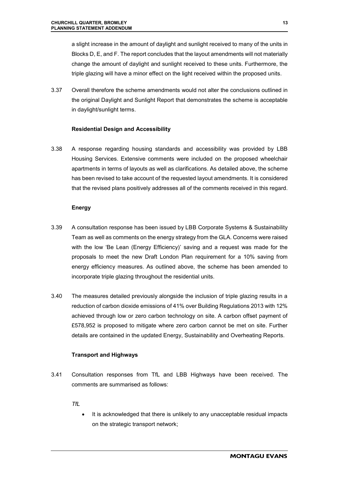a slight increase in the amount of daylight and sunlight received to many of the units in Blocks D, E, and F. The report concludes that the layout amendments will not materially change the amount of daylight and sunlight received to these units. Furthermore, the triple glazing will have a minor effect on the light received within the proposed units.

3.37 Overall therefore the scheme amendments would not alter the conclusions outlined in the original Daylight and Sunlight Report that demonstrates the scheme is acceptable in daylight/sunlight terms.

#### **Residential Design and Accessibility**

3.38 A response regarding housing standards and accessibility was provided by LBB Housing Services. Extensive comments were included on the proposed wheelchair apartments in terms of layouts as well as clarifications. As detailed above, the scheme has been revised to take account of the requested layout amendments. It is considered that the revised plans positively addresses all of the comments received in this regard.

#### **Energy**

- 3.39 A consultation response has been issued by LBB Corporate Systems & Sustainability Team as well as comments on the energy strategy from the GLA. Concerns were raised with the low 'Be Lean (Energy Efficiency)' saving and a request was made for the proposals to meet the new Draft London Plan requirement for a 10% saving from energy efficiency measures. As outlined above, the scheme has been amended to incorporate triple glazing throughout the residential units.
- 3.40 The measures detailed previously alongside the inclusion of triple glazing results in a reduction of carbon dioxide emissions of 41% over Building Regulations 2013 with 12% achieved through low or zero carbon technology on site. A carbon offset payment of £578,952 is proposed to mitigate where zero carbon cannot be met on site. Further details are contained in the updated Energy, Sustainability and Overheating Reports.

#### **Transport and Highways**

3.41 Consultation responses from TfL and LBB Highways have been received. The comments are summarised as follows:

*TfL* 

 It is acknowledged that there is unlikely to any unacceptable residual impacts on the strategic transport network;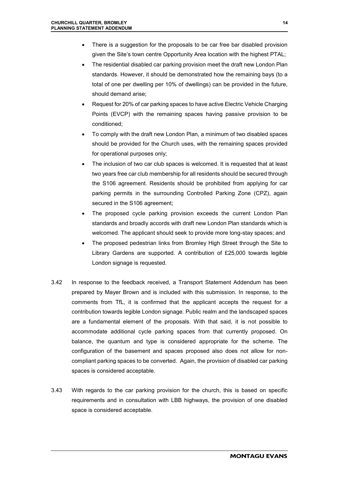- There is a suggestion for the proposals to be car free bar disabled provision given the Site's town centre Opportunity Area location with the highest PTAL;
- The residential disabled car parking provision meet the draft new London Plan standards. However, it should be demonstrated how the remaining bays (to a total of one per dwelling per 10% of dwellings) can be provided in the future, should demand arise;
- Request for 20% of car parking spaces to have active Electric Vehicle Charging Points (EVCP) with the remaining spaces having passive provision to be conditioned;
- To comply with the draft new London Plan, a minimum of two disabled spaces should be provided for the Church uses, with the remaining spaces provided for operational purposes only;
- The inclusion of two car club spaces is welcomed. It is requested that at least two years free car club membership for all residents should be secured through the S106 agreement. Residents should be prohibited from applying for car parking permits in the surrounding Controlled Parking Zone (CPZ), again secured in the S106 agreement;
- The proposed cycle parking provision exceeds the current London Plan standards and broadly accords with draft new London Plan standards which is welcomed. The applicant should seek to provide more long-stay spaces; and
- The proposed pedestrian links from Bromley High Street through the Site to Library Gardens are supported. A contribution of £25,000 towards legible London signage is requested.
- 3.42 In response to the feedback received, a Transport Statement Addendum has been prepared by Mayer Brown and is included with this submission. In response, to the comments from TfL, it is confirmed that the applicant accepts the request for a contribution towards legible London signage. Public realm and the landscaped spaces are a fundamental element of the proposals. With that said, it is not possible to accommodate additional cycle parking spaces from that currently proposed. On balance, the quantum and type is considered appropriate for the scheme. The configuration of the basement and spaces proposed also does not allow for noncompliant parking spaces to be converted. Again, the provision of disabled car parking spaces is considered acceptable.
- 3.43 With regards to the car parking provision for the church, this is based on specific requirements and in consultation with LBB highways, the provision of one disabled space is considered acceptable.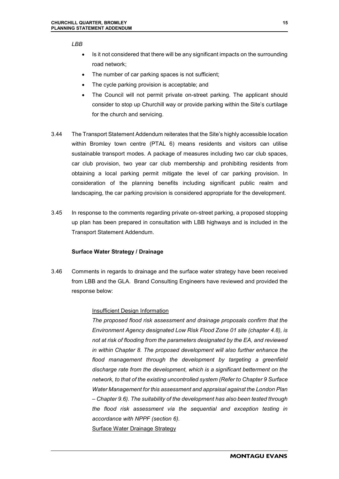*LBB* 

- Is it not considered that there will be any significant impacts on the surrounding road network;
- The number of car parking spaces is not sufficient;
- The cycle parking provision is acceptable; and
- The Council will not permit private on-street parking. The applicant should consider to stop up Churchill way or provide parking within the Site's curtilage for the church and servicing.
- 3.44 The Transport Statement Addendum reiterates that the Site's highly accessible location within Bromley town centre (PTAL 6) means residents and visitors can utilise sustainable transport modes. A package of measures including two car club spaces, car club provision, two year car club membership and prohibiting residents from obtaining a local parking permit mitigate the level of car parking provision. In consideration of the planning benefits including significant public realm and landscaping, the car parking provision is considered appropriate for the development.
- 3.45 In response to the comments regarding private on-street parking, a proposed stopping up plan has been prepared in consultation with LBB highways and is included in the Transport Statement Addendum.

#### **Surface Water Strategy / Drainage**

3.46 Comments in regards to drainage and the surface water strategy have been received from LBB and the GLA. Brand Consulting Engineers have reviewed and provided the response below:

#### Insufficient Design Information

*The proposed flood risk assessment and drainage proposals confirm that the Environment Agency designated Low Risk Flood Zone 01 site (chapter 4.8), is not at risk of flooding from the parameters designated by the EA, and reviewed in within Chapter 8. The proposed development will also further enhance the flood management through the development by targeting a greenfield discharge rate from the development, which is a significant betterment on the network, to that of the existing uncontrolled system (Refer to Chapter 9 Surface Water Management for this assessment and appraisal against the London Plan – Chapter 9.6). The suitability of the development has also been tested through the flood risk assessment via the sequential and exception testing in accordance with NPPF (section 6).* Surface Water Drainage Strategy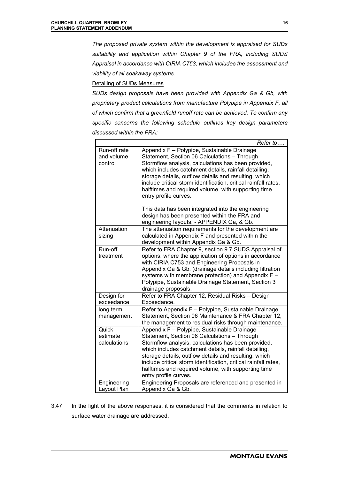*The proposed private system within the development is appraised for SUDs suitability and application within Chapter 9 of the FRA, including SUDS Appraisal in accordance with CIRIA C753, which includes the assessment and viability of all soakaway systems.* 

Detailing of SUDs Measures

*SUDs design proposals have been provided with Appendix Ga & Gb, with proprietary product calculations from manufacture Polypipe in Appendix F, all of which confirm that a greenfield runoff rate can be achieved. To confirm any specific concerns the following schedule outlines key design parameters discussed within the FRA:* 

|                                       | Refer to                                                                                                                                                                                                                                                                                                                                                                                                                                                                                                                      |
|---------------------------------------|-------------------------------------------------------------------------------------------------------------------------------------------------------------------------------------------------------------------------------------------------------------------------------------------------------------------------------------------------------------------------------------------------------------------------------------------------------------------------------------------------------------------------------|
| Run-off rate<br>and volume<br>control | Appendix F - Polypipe, Sustainable Drainage<br>Statement, Section 06 Calculations - Through<br>Stormflow analysis, calculations has been provided,<br>which includes catchment details, rainfall detailing,<br>storage details, outflow details and resulting, which<br>include critical storm identification, critical rainfall rates,<br>halftimes and required volume, with supporting time<br>entry profile curves.<br>This data has been integrated into the engineering<br>design has been presented within the FRA and |
|                                       | engineering layouts, - APPENDIX Ga, & Gb.                                                                                                                                                                                                                                                                                                                                                                                                                                                                                     |
| Attenuation<br>sizing                 | The attenuation requirements for the development are<br>calculated in Appendix F and presented within the<br>development within Appendix Ga & Gb.                                                                                                                                                                                                                                                                                                                                                                             |
| Run-off<br>treatment                  | Refer to FRA Chapter 9, section 9.7 SUDS Appraisal of<br>options, where the application of options in accordance<br>with CIRIA C753 and Engineering Proposals in<br>Appendix Ga & Gb, (drainage details including filtration<br>systems with membrane protection) and Appendix F -<br>Polypipe, Sustainable Drainage Statement, Section 3<br>drainage proposals.                                                                                                                                                              |
| Design for<br>exceedance              | Refer to FRA Chapter 12, Residual Risks - Design<br>Exceedance.                                                                                                                                                                                                                                                                                                                                                                                                                                                               |
| long term<br>management               | Refer to Appendix F - Polypipe, Sustainable Drainage<br>Statement, Section 06 Maintenance & FRA Chapter 12,<br>the management to residual risks through maintenance.                                                                                                                                                                                                                                                                                                                                                          |
| Quick<br>estimate<br>calculations     | Appendix F - Polypipe, Sustainable Drainage<br>Statement, Section 06 Calculations - Through<br>Stormflow analysis, calculations has been provided,<br>which includes catchment details, rainfall detailing,<br>storage details, outflow details and resulting, which<br>include critical storm identification, critical rainfall rates,<br>halftimes and required volume, with supporting time<br>entry profile curves.                                                                                                       |
| Engineering<br>Layout Plan            | Engineering Proposals are referenced and presented in<br>Appendix Ga & Gb.                                                                                                                                                                                                                                                                                                                                                                                                                                                    |

3.47 In the light of the above responses, it is considered that the comments in relation to surface water drainage are addressed.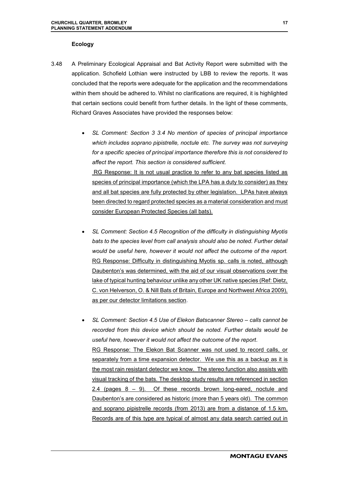#### **Ecology**

- 3.48 A Preliminary Ecological Appraisal and Bat Activity Report were submitted with the application. Schofield Lothian were instructed by LBB to review the reports. It was concluded that the reports were adequate for the application and the recommendations within them should be adhered to. Whilst no clarifications are required, it is highlighted that certain sections could benefit from further details. In the light of these comments, Richard Graves Associates have provided the responses below:
	- *SL Comment: Section 3 3.4 No mention of species of principal importance which includes soprano pipistrelle, noctule etc. The survey was not surveying for a specific species of principal importance therefore this is not considered to affect the report. This section is considered sufficient.* RG Response: It is not usual practice to refer to any bat species listed as species of principal importance (which the LPA has a duty to consider) as they and all bat species are fully protected by other legislation. LPAs have always been directed to regard protected species as a material consideration and must consider European Protected Species (all bats).
	- *SL Comment: Section 4.5 Recognition of the difficulty in distinguishing Myotis bats to the species level from call analysis should also be noted. Further detail would be useful here, however it would not affect the outcome of the report.* RG Response: Difficulty in distinguishing Myotis sp. calls is noted, although Daubenton's was determined, with the aid of our visual observations over the lake of typical hunting behaviour unlike any other UK native species (Ref: Dietz, C. von Helverson, O. & Nill Bats of Britain, Europe and Northwest Africa 2009), as per our detector limitations section.
	- *SL Comment: Section 4.5 Use of Elekon Batscanner Stereo calls cannot be recorded from this device which should be noted. Further details would be useful here, however it would not affect the outcome of the report*. RG Response: The Elekon Bat Scanner was not used to record calls, or separately from a time expansion detector. We use this as a backup as it is the most rain resistant detector we know. The stereo function also assists with visual tracking of the bats. The desktop study results are referenced in section 2.4 (pages 8 – 9). Of these records brown long-eared, noctule and Daubenton's are considered as historic (more than 5 years old). The common and soprano pipistrelle records (from 2013) are from a distance of 1.5 km. Records are of this type are typical of almost any data search carried out in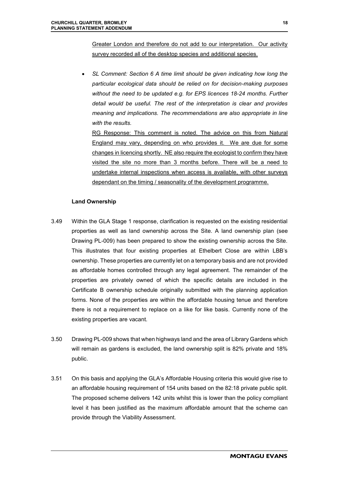Greater London and therefore do not add to our interpretation. Our activity survey recorded all of the desktop species and additional species.

 *SL Comment: Section 6 A time limit should be given indicating how long the particular ecological data should be relied on for decision-making purposes without the need to be updated e.g. for EPS licences 18-24 months. Further detail would be useful. The rest of the interpretation is clear and provides meaning and implications. The recommendations are also appropriate in line with the results.* 

RG Response: This comment is noted. The advice on this from Natural England may vary, depending on who provides it. We are due for some changes in licencing shortly. NE also require the ecologist to confirm they have visited the site no more than 3 months before. There will be a need to undertake internal inspections when access is available, with other surveys dependant on the timing / seasonality of the development programme.

#### **Land Ownership**

- 3.49 Within the GLA Stage 1 response, clarification is requested on the existing residential properties as well as land ownership across the Site. A land ownership plan (see Drawing PL-009) has been prepared to show the existing ownership across the Site. This illustrates that four existing properties at Ethelbert Close are within LBB's ownership. These properties are currently let on a temporary basis and are not provided as affordable homes controlled through any legal agreement. The remainder of the properties are privately owned of which the specific details are included in the Certificate B ownership schedule originally submitted with the planning application forms. None of the properties are within the affordable housing tenue and therefore there is not a requirement to replace on a like for like basis. Currently none of the existing properties are vacant.
- 3.50 Drawing PL-009 shows that when highways land and the area of Library Gardens which will remain as gardens is excluded, the land ownership split is 82% private and 18% public.
- 3.51 On this basis and applying the GLA's Affordable Housing criteria this would give rise to an affordable housing requirement of 154 units based on the 82:18 private public split. The proposed scheme delivers 142 units whilst this is lower than the policy compliant level it has been justified as the maximum affordable amount that the scheme can provide through the Viability Assessment.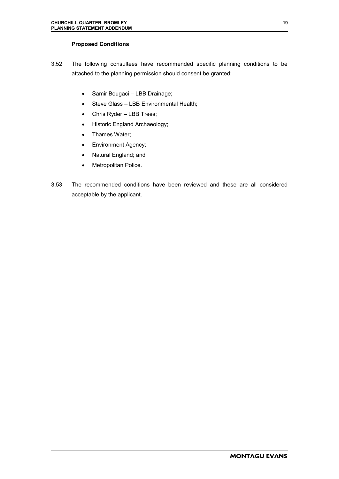#### **Proposed Conditions**

- 3.52 The following consultees have recommended specific planning conditions to be attached to the planning permission should consent be granted:
	- Samir Bougaci LBB Drainage;
	- Steve Glass LBB Environmental Health;
	- Chris Ryder LBB Trees;
	- Historic England Archaeology;
	- Thames Water;
	- Environment Agency;
	- Natural England; and
	- Metropolitan Police.
- 3.53 The recommended conditions have been reviewed and these are all considered acceptable by the applicant.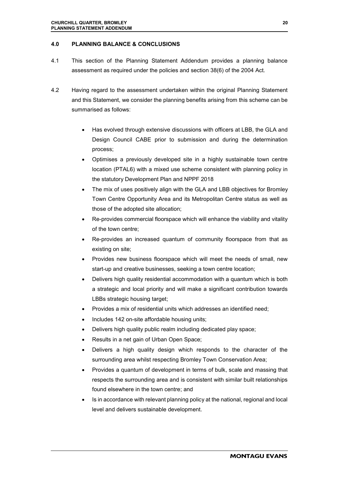#### **4.0 PLANNING BALANCE & CONCLUSIONS**

- 4.1 This section of the Planning Statement Addendum provides a planning balance assessment as required under the policies and section 38(6) of the 2004 Act.
- 4.2 Having regard to the assessment undertaken within the original Planning Statement and this Statement, we consider the planning benefits arising from this scheme can be summarised as follows:
	- Has evolved through extensive discussions with officers at LBB, the GLA and Design Council CABE prior to submission and during the determination process;
	- Optimises a previously developed site in a highly sustainable town centre location (PTAL6) with a mixed use scheme consistent with planning policy in the statutory Development Plan and NPPF 2018
	- The mix of uses positively align with the GLA and LBB objectives for Bromley Town Centre Opportunity Area and its Metropolitan Centre status as well as those of the adopted site allocation;
	- Re-provides commercial floorspace which will enhance the viability and vitality of the town centre;
	- Re-provides an increased quantum of community floorspace from that as existing on site;
	- Provides new business floorspace which will meet the needs of small, new start-up and creative businesses, seeking a town centre location;
	- Delivers high quality residential accommodation with a quantum which is both a strategic and local priority and will make a significant contribution towards LBBs strategic housing target;
	- Provides a mix of residential units which addresses an identified need;
	- Includes 142 on-site affordable housing units;
	- Delivers high quality public realm including dedicated play space;
	- Results in a net gain of Urban Open Space;
	- Delivers a high quality design which responds to the character of the surrounding area whilst respecting Bromley Town Conservation Area;
	- Provides a quantum of development in terms of bulk, scale and massing that respects the surrounding area and is consistent with similar built relationships found elsewhere in the town centre; and
	- Is in accordance with relevant planning policy at the national, regional and local level and delivers sustainable development.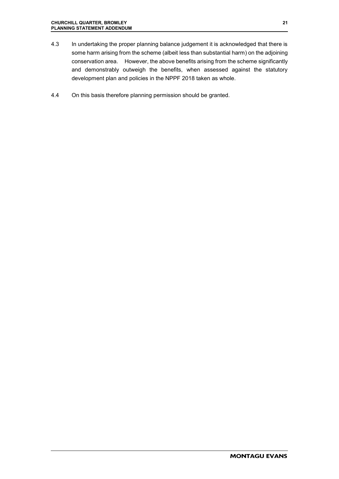- 4.3 In undertaking the proper planning balance judgement it is acknowledged that there is some harm arising from the scheme (albeit less than substantial harm) on the adjoining conservation area. However, the above benefits arising from the scheme significantly and demonstrably outweigh the benefits, when assessed against the statutory development plan and policies in the NPPF 2018 taken as whole.
- 4.4 On this basis therefore planning permission should be granted.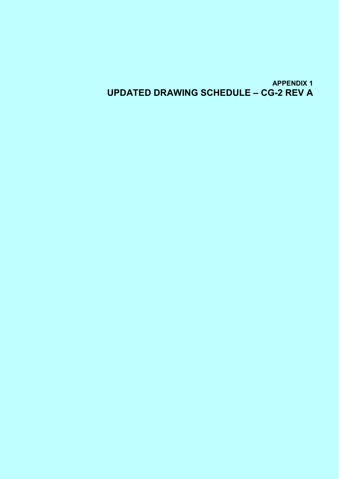**APPENDIX 1 UPDATED DRAWING SCHEDULE – CG-2 REV A**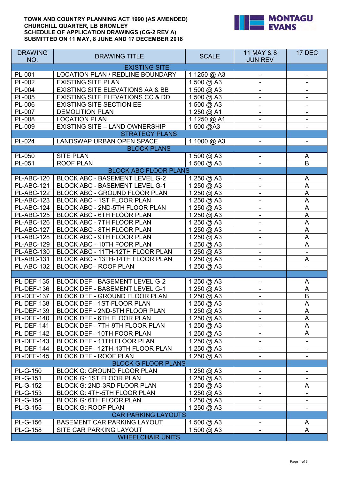#### **TOWN AND COUNTRY PLANNING ACT 1990 (AS AMENDED) CHURCHILL QUARTER, LB BROMLEY SCHEDULE OF APPLICATION DRAWINGS (CG-2 REV A) SUBMITTED ON 11 MAY, 8 JUNE AND 17 DECEMBER 2018**



| <b>DRAWING</b><br>NO.   | <b>DRAWING TITLE</b>                  | <b>SCALE</b>         | 11 MAY & 8<br><b>JUN REV</b> | 17 DEC                    |
|-------------------------|---------------------------------------|----------------------|------------------------------|---------------------------|
|                         | <b>EXISTING SITE</b>                  |                      |                              |                           |
| PL-001                  | LOCATION PLAN / REDLINE BOUNDARY      | 1:1250 @ A3          |                              |                           |
| PL-002                  | <b>EXISTING SITE PLAN</b>             | 1:500 @ A3           |                              |                           |
| PL-004                  | EXISTING SITE ELEVATIONS AA & BB      | 1:500 @ A3           |                              |                           |
| PL-005                  | EXISTING SITE ELEVATIONS CC & DD      | 1:500 @ A3           | $\overline{\phantom{a}}$     | -                         |
| PL-006                  | <b>EXISTING SITE SECTION EE</b>       | 1:500 @ A3           | $\overline{\phantom{a}}$     | -                         |
| PL-007                  | <b>DEMOLITION PLAN</b>                | 1:250 @ A1           |                              |                           |
| PL-008                  | <b>LOCATION PLAN</b>                  | 1:1250 @ A1          |                              |                           |
| PL-009                  | <b>EXISTING SITE - LAND OWNERSHIP</b> | 1:500 @A3            |                              |                           |
|                         | <b>STRATEGY PLANS</b>                 |                      |                              |                           |
| PL-024                  | LANDSWAP URBAN OPEN SPACE             | 1:1000 @ A3          |                              |                           |
|                         | <b>BLOCK PLANS</b>                    |                      |                              |                           |
| PL-050                  | <b>SITE PLAN</b>                      | 1:500 @ A3           |                              | A                         |
| PL-051                  | <b>ROOF PLAN</b>                      | 1:500 @ A3           |                              | B                         |
|                         | <b>BLOCK ABC FLOOR PLANS</b>          |                      |                              |                           |
| <b>PL-ABC-120</b>       | BLOCK ABC - BASEMENT LEVEL G-2        | 1:250 @ A3           |                              | A                         |
| <b>PL-ABC-121</b>       | BLOCK ABC - BASEMENT LEVEL G-1        | 1:250 @ A3           |                              | $\boldsymbol{\mathsf{A}}$ |
| <b>PL-ABC-122</b>       | BLOCK ABC - GROUND FLOOR PLAN         | 1:250 @ A3           | $\blacksquare$               | $\boldsymbol{\mathsf{A}}$ |
| <b>PL-ABC-123</b>       | BLOCK ABC - 1ST FLOOR PLAN            | 1:250 @ A3           | $\blacksquare$               | A                         |
| PL-ABC-124              | BLOCK ABC - 2ND-5TH FLOOR PLAN        | 1:250 @ A3           |                              | A                         |
| <b>PL-ABC-125</b>       | BLOCK ABC - 6TH FLOOR PLAN            | 1:250 @ A3           |                              | A                         |
| PL-ABC-126              | BLOCK ABC - 7TH FLOOR PLAN            | 1:250 @ A3           |                              | A                         |
| PL-ABC-127              | BLOCK ABC - 8TH FLOOR PLAN            | 1:250 @ A3           |                              | A                         |
| PL-ABC-128              | BLOCK ABC - 9TH FLOOR PLAN            | 1:250 @ A3           | $\overline{\phantom{0}}$     | $\boldsymbol{\mathsf{A}}$ |
| PL-ABC-129              | BLOCK ABC - 10TH FOOR PLAN            | 1:250 @ A3           | $\overline{\phantom{a}}$     | $\boldsymbol{\mathsf{A}}$ |
| PL-ABC-130              | BLOCK ABC - 11TH-12TH FLOOR PLAN      | 1:250 @ A3           | $\blacksquare$               | $\blacksquare$            |
| PL-ABC-131              | BLOCK ABC - 13TH-14TH FLOOR PLAN      | 1:250 @ A3           |                              | A                         |
| PL-ABC-132              | <b>BLOCK ABC - ROOF PLAN</b>          | 1:250 @ A3           |                              |                           |
|                         |                                       |                      |                              |                           |
| <b>PL-DEF-135</b>       | <b>BLOCK DEF - BASEMENT LEVEL G-2</b> | 1:250 @ A3           |                              | A                         |
| <b>PL-DEF-136</b>       | <b>BLOCK DEF - BASEMENT LEVEL G-1</b> | 1:250 @ A3           | $\overline{\phantom{a}}$     | A                         |
| <b>PL-DEF-137</b>       | BLOCK DEF - GROUND FLOOR PLAN         | 1:250 @ A3           |                              | $\sf B$                   |
| PL-DEF-138              | BLOCK DEF - 1ST FLOOR PLAN            | 1:250 @ A3           |                              | $\boldsymbol{\mathsf{A}}$ |
| <b>PL-DEF-139</b>       | BLOCK DEF - 2ND-5TH FLOOR PLAN        | 1:250 @ A3           |                              | A                         |
| PL-DEF-140              | BLOCK DEF - 6TH FLOOR PLAN            | 1:250 @ A3           |                              | A                         |
| <b>PL-DEF-141</b>       | BLOCK DEF - 7TH-9TH FLOOR PLAN        | 1:250 $@$ A3         |                              | A                         |
| <b>PL-DEF-142</b>       | BLOCK DEF - 10TH FOOR PLAN            | 1:250 @ A3           | $\overline{\phantom{a}}$     | A                         |
| <b>PL-DEF-143</b>       | BLOCK DEF - 11TH FLOOR PLAN           | 1:250 @ A3           |                              | $\overline{\phantom{a}}$  |
| PL-DEF-144              | BLOCK DEF - 12TH-13TH FLOOR PLAN      | 1:250 @ A3           |                              |                           |
| <b>PL-DEF-145</b>       | <b>BLOCK DEF - ROOF PLAN</b>          | 1:250 @ A3           |                              |                           |
|                         | <b>BLOCK G FLOOR PLANS</b>            |                      |                              |                           |
| <b>PL-G-150</b>         | <b>BLOCK G: GROUND FLOOR PLAN</b>     | 1:250 $@$ A3         | ۰                            | $\overline{\phantom{a}}$  |
| <b>PL-G-151</b>         | <b>BLOCK G: 1ST FLOOR PLAN</b>        | 1:250 @ A3           |                              |                           |
| <b>PL-G-152</b>         | BLOCK G: 2ND-3RD FLOOR PLAN           | 1:250 @ A3           |                              | A                         |
| PL-G-153                | <b>BLOCK G: 4TH-5TH FLOOR PLAN</b>    | 1:250 @ A3           |                              | ۰.                        |
| <b>PL-G-154</b>         | <b>BLOCK G: 6TH FLOOR PLAN</b>        | 1:250 @ A3           |                              |                           |
| PL-G-155                | <b>BLOCK G: ROOF PLAN</b>             | 1:250 $@$ A3         |                              |                           |
|                         | <b>CAR PARKING LAYOUTS</b>            |                      |                              |                           |
| <b>PL-G-156</b>         | BASEMENT CAR PARKING LAYOUT           | 1:500 @ A3           |                              | A                         |
| <b>PL-G-158</b>         | SITE CAR PARKING LAYOUT               | $1:500 \text{ @ A3}$ |                              | A                         |
| <b>WHEELCHAIR UNITS</b> |                                       |                      |                              |                           |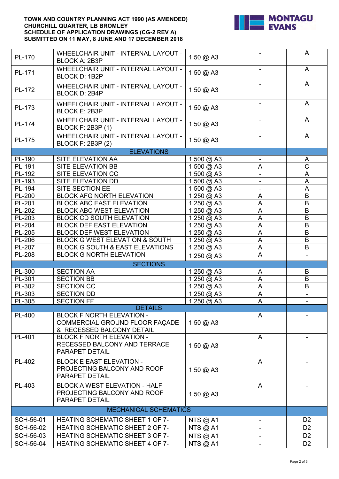#### **TOWN AND COUNTRY PLANNING ACT 1990 (AS AMENDED) CHURCHILL QUARTER, LB BROMLEY SCHEDULE OF APPLICATION DRAWINGS (CG-2 REV A) SUBMITTED ON 11 MAY, 8 JUNE AND 17 DECEMBER 2018**



| A<br>WHEELCHAIR UNIT - INTERNAL LAYOUT -<br>PL-170<br>1:50 @ A3<br><b>BLOCK A: 2B3P</b><br><b>WHEELCHAIR UNIT - INTERNAL LAYOUT -</b><br>$\mathsf{A}$<br>1:50 @ A3<br>PL-171<br><b>BLOCK D: 1B2P</b><br>A<br><b>WHEELCHAIR UNIT - INTERNAL LAYOUT -</b><br>PL-172<br>1:50 @ A3<br><b>BLOCK D: 2B4P</b><br>A<br>WHEELCHAIR UNIT - INTERNAL LAYOUT -<br>PL-173<br>1:50 @ A3<br><b>BLOCK E: 2B3P</b><br>A<br>WHEELCHAIR UNIT - INTERNAL LAYOUT -<br>PL-174<br>1:50 @ A3<br><b>BLOCK F: 2B3P (1)</b><br>$\mathsf{A}$<br><b>WHEELCHAIR UNIT - INTERNAL LAYOUT -</b><br>1:50 $@$ A3<br>PL-175<br><b>BLOCK F: 2B3P (2)</b><br><b>ELEVATIONS</b><br>PL-190<br>SITE ELEVATION AA<br>1:500 @ A3<br>A<br>$\overline{\text{C}}$<br>PL-191<br>SITE ELEVATION BB<br>1:500 @ A3<br>$\boldsymbol{\mathsf{A}}$<br>$\mathsf{A}$<br>PL-192<br>SITE ELEVATION CC<br>1:500 @ A3<br>$\overline{\phantom{a}}$<br>PL-193<br>$1:500 \text{ @ A3}$<br>SITE ELEVATION DD<br>A<br>$\overline{PL-194}$<br>SITE SECTION EE<br>1:500 @ A3<br>A<br>B<br>PL-200<br><b>BLOCK AFG NORTH ELEVATION</b><br>1:250 @ A3<br>A<br><b>BLOCK ABC EAST ELEVATION</b><br>PL-201<br>1:250 @ A3<br>A<br>B<br>$\boldsymbol{\mathsf{A}}$<br>$\sf B$<br>PL-202<br><b>BLOCK ABC WEST ELEVATION</b><br>1:250 @ A3<br>$\overline{A}$<br>$\sf B$<br>PL-203<br><b>BLOCK CD SOUTH ELEVATION</b><br>1:250 @ A3<br>PL-204<br>A<br>$\mathsf B$<br><b>BLOCK DEF EAST ELEVATION</b><br>1:250 @ A3<br>PL-205<br><b>BLOCK DEF WEST ELEVATION</b><br>A<br>$\sf B$<br>1:250 @ A3<br>$\overline{A}$<br>BLOCK G WEST ELEVATION & SOUTH<br>B<br>PL-206<br>1:250 @ A3<br>PL-207<br>BLOCK G SOUTH & EAST ELEVATIONS<br>$\overline{A}$<br>B<br>1:250 @ A3<br>$\overline{\mathsf{A}}$<br><b>PL-208</b><br><b>BLOCK G NORTH ELEVATION</b><br>1:250 @ A3<br><b>SECTIONS</b><br>PL-300<br><b>SECTION AA</b><br>1:250 @ A3<br>B<br>A<br>B<br>PL-301<br>$\boldsymbol{\mathsf{A}}$<br><b>SECTION BB</b><br>1:250 @ A3<br>$\overline{A}$<br>PL-302<br><b>SECTION CC</b><br>B<br>$1:250 \text{ @ A3}$<br>PL-303<br><b>SECTION DD</b><br>A<br>1:250 @ A3<br>PL-305<br><b>SECTION FF</b><br>1:250 @ A3<br>$\boldsymbol{\mathsf{A}}$<br><b>DETAILS</b><br><b>BLOCK F NORTH ELEVATION -</b><br><b>PL-400</b><br>A<br>COMMERCIAL GROUND FLOOR FAÇADE<br>1:50 $@$ A3<br>& RECESSED BALCONY DETAIL<br>PL-401<br><b>BLOCK F NORTH ELEVATION -</b><br>A<br>RECESSED BALCONY AND TERRACE<br>1:50 @ A3<br>PARAPET DETAIL<br>PL-402<br><b>BLOCK E EAST ELEVATION -</b><br>A<br>PROJECTING BALCONY AND ROOF<br>1:50 @ A3<br>PARAPET DETAIL<br><b>BLOCK A WEST ELEVATION - HALF</b><br>PL-403<br>A<br>PROJECTING BALCONY AND ROOF<br>1:50 $@$ A3<br>PARAPET DETAIL<br><b>MECHANICAL SCHEMATICS</b><br>SCH-56-01<br><b>HEATING SCHEMATIC SHEET 1 OF 7-</b><br>D <sub>2</sub><br>NTS @ A1<br><b>SCH-56-02</b><br><b>HEATING SCHEMATIC SHEET 2 OF 7-</b><br>D <sub>2</sub><br><b>NTS @ A1</b><br><b>SCH-56-03</b><br><b>HEATING SCHEMATIC SHEET 3 OF 7-</b><br>D <sub>2</sub><br><b>NTS @ A1</b><br><b>SCH-56-04</b><br>D <sub>2</sub><br><b>HEATING SCHEMATIC SHEET 4 OF 7-</b><br><b>NTS @ A1</b> |  |  |  |  |  |
|----------------------------------------------------------------------------------------------------------------------------------------------------------------------------------------------------------------------------------------------------------------------------------------------------------------------------------------------------------------------------------------------------------------------------------------------------------------------------------------------------------------------------------------------------------------------------------------------------------------------------------------------------------------------------------------------------------------------------------------------------------------------------------------------------------------------------------------------------------------------------------------------------------------------------------------------------------------------------------------------------------------------------------------------------------------------------------------------------------------------------------------------------------------------------------------------------------------------------------------------------------------------------------------------------------------------------------------------------------------------------------------------------------------------------------------------------------------------------------------------------------------------------------------------------------------------------------------------------------------------------------------------------------------------------------------------------------------------------------------------------------------------------------------------------------------------------------------------------------------------------------------------------------------------------------------------------------------------------------------------------------------------------------------------------------------------------------------------------------------------------------------------------------------------------------------------------------------------------------------------------------------------------------------------------------------------------------------------------------------------------------------------------------------------------------------------------------------------------------------------------------------------------------------------------------------------------------------------------------------------------------------------------------------------------------------------------------------------------------------------------------------------------------------------------------------------------------------------------------------------------------------------------------------------------------------------------------------------------------------------------------------------------------------------------------------------------------------------------|--|--|--|--|--|
|                                                                                                                                                                                                                                                                                                                                                                                                                                                                                                                                                                                                                                                                                                                                                                                                                                                                                                                                                                                                                                                                                                                                                                                                                                                                                                                                                                                                                                                                                                                                                                                                                                                                                                                                                                                                                                                                                                                                                                                                                                                                                                                                                                                                                                                                                                                                                                                                                                                                                                                                                                                                                                                                                                                                                                                                                                                                                                                                                                                                                                                                                                    |  |  |  |  |  |
|                                                                                                                                                                                                                                                                                                                                                                                                                                                                                                                                                                                                                                                                                                                                                                                                                                                                                                                                                                                                                                                                                                                                                                                                                                                                                                                                                                                                                                                                                                                                                                                                                                                                                                                                                                                                                                                                                                                                                                                                                                                                                                                                                                                                                                                                                                                                                                                                                                                                                                                                                                                                                                                                                                                                                                                                                                                                                                                                                                                                                                                                                                    |  |  |  |  |  |
|                                                                                                                                                                                                                                                                                                                                                                                                                                                                                                                                                                                                                                                                                                                                                                                                                                                                                                                                                                                                                                                                                                                                                                                                                                                                                                                                                                                                                                                                                                                                                                                                                                                                                                                                                                                                                                                                                                                                                                                                                                                                                                                                                                                                                                                                                                                                                                                                                                                                                                                                                                                                                                                                                                                                                                                                                                                                                                                                                                                                                                                                                                    |  |  |  |  |  |
|                                                                                                                                                                                                                                                                                                                                                                                                                                                                                                                                                                                                                                                                                                                                                                                                                                                                                                                                                                                                                                                                                                                                                                                                                                                                                                                                                                                                                                                                                                                                                                                                                                                                                                                                                                                                                                                                                                                                                                                                                                                                                                                                                                                                                                                                                                                                                                                                                                                                                                                                                                                                                                                                                                                                                                                                                                                                                                                                                                                                                                                                                                    |  |  |  |  |  |
|                                                                                                                                                                                                                                                                                                                                                                                                                                                                                                                                                                                                                                                                                                                                                                                                                                                                                                                                                                                                                                                                                                                                                                                                                                                                                                                                                                                                                                                                                                                                                                                                                                                                                                                                                                                                                                                                                                                                                                                                                                                                                                                                                                                                                                                                                                                                                                                                                                                                                                                                                                                                                                                                                                                                                                                                                                                                                                                                                                                                                                                                                                    |  |  |  |  |  |
|                                                                                                                                                                                                                                                                                                                                                                                                                                                                                                                                                                                                                                                                                                                                                                                                                                                                                                                                                                                                                                                                                                                                                                                                                                                                                                                                                                                                                                                                                                                                                                                                                                                                                                                                                                                                                                                                                                                                                                                                                                                                                                                                                                                                                                                                                                                                                                                                                                                                                                                                                                                                                                                                                                                                                                                                                                                                                                                                                                                                                                                                                                    |  |  |  |  |  |
|                                                                                                                                                                                                                                                                                                                                                                                                                                                                                                                                                                                                                                                                                                                                                                                                                                                                                                                                                                                                                                                                                                                                                                                                                                                                                                                                                                                                                                                                                                                                                                                                                                                                                                                                                                                                                                                                                                                                                                                                                                                                                                                                                                                                                                                                                                                                                                                                                                                                                                                                                                                                                                                                                                                                                                                                                                                                                                                                                                                                                                                                                                    |  |  |  |  |  |
|                                                                                                                                                                                                                                                                                                                                                                                                                                                                                                                                                                                                                                                                                                                                                                                                                                                                                                                                                                                                                                                                                                                                                                                                                                                                                                                                                                                                                                                                                                                                                                                                                                                                                                                                                                                                                                                                                                                                                                                                                                                                                                                                                                                                                                                                                                                                                                                                                                                                                                                                                                                                                                                                                                                                                                                                                                                                                                                                                                                                                                                                                                    |  |  |  |  |  |
|                                                                                                                                                                                                                                                                                                                                                                                                                                                                                                                                                                                                                                                                                                                                                                                                                                                                                                                                                                                                                                                                                                                                                                                                                                                                                                                                                                                                                                                                                                                                                                                                                                                                                                                                                                                                                                                                                                                                                                                                                                                                                                                                                                                                                                                                                                                                                                                                                                                                                                                                                                                                                                                                                                                                                                                                                                                                                                                                                                                                                                                                                                    |  |  |  |  |  |
|                                                                                                                                                                                                                                                                                                                                                                                                                                                                                                                                                                                                                                                                                                                                                                                                                                                                                                                                                                                                                                                                                                                                                                                                                                                                                                                                                                                                                                                                                                                                                                                                                                                                                                                                                                                                                                                                                                                                                                                                                                                                                                                                                                                                                                                                                                                                                                                                                                                                                                                                                                                                                                                                                                                                                                                                                                                                                                                                                                                                                                                                                                    |  |  |  |  |  |
|                                                                                                                                                                                                                                                                                                                                                                                                                                                                                                                                                                                                                                                                                                                                                                                                                                                                                                                                                                                                                                                                                                                                                                                                                                                                                                                                                                                                                                                                                                                                                                                                                                                                                                                                                                                                                                                                                                                                                                                                                                                                                                                                                                                                                                                                                                                                                                                                                                                                                                                                                                                                                                                                                                                                                                                                                                                                                                                                                                                                                                                                                                    |  |  |  |  |  |
|                                                                                                                                                                                                                                                                                                                                                                                                                                                                                                                                                                                                                                                                                                                                                                                                                                                                                                                                                                                                                                                                                                                                                                                                                                                                                                                                                                                                                                                                                                                                                                                                                                                                                                                                                                                                                                                                                                                                                                                                                                                                                                                                                                                                                                                                                                                                                                                                                                                                                                                                                                                                                                                                                                                                                                                                                                                                                                                                                                                                                                                                                                    |  |  |  |  |  |
|                                                                                                                                                                                                                                                                                                                                                                                                                                                                                                                                                                                                                                                                                                                                                                                                                                                                                                                                                                                                                                                                                                                                                                                                                                                                                                                                                                                                                                                                                                                                                                                                                                                                                                                                                                                                                                                                                                                                                                                                                                                                                                                                                                                                                                                                                                                                                                                                                                                                                                                                                                                                                                                                                                                                                                                                                                                                                                                                                                                                                                                                                                    |  |  |  |  |  |
|                                                                                                                                                                                                                                                                                                                                                                                                                                                                                                                                                                                                                                                                                                                                                                                                                                                                                                                                                                                                                                                                                                                                                                                                                                                                                                                                                                                                                                                                                                                                                                                                                                                                                                                                                                                                                                                                                                                                                                                                                                                                                                                                                                                                                                                                                                                                                                                                                                                                                                                                                                                                                                                                                                                                                                                                                                                                                                                                                                                                                                                                                                    |  |  |  |  |  |
|                                                                                                                                                                                                                                                                                                                                                                                                                                                                                                                                                                                                                                                                                                                                                                                                                                                                                                                                                                                                                                                                                                                                                                                                                                                                                                                                                                                                                                                                                                                                                                                                                                                                                                                                                                                                                                                                                                                                                                                                                                                                                                                                                                                                                                                                                                                                                                                                                                                                                                                                                                                                                                                                                                                                                                                                                                                                                                                                                                                                                                                                                                    |  |  |  |  |  |
|                                                                                                                                                                                                                                                                                                                                                                                                                                                                                                                                                                                                                                                                                                                                                                                                                                                                                                                                                                                                                                                                                                                                                                                                                                                                                                                                                                                                                                                                                                                                                                                                                                                                                                                                                                                                                                                                                                                                                                                                                                                                                                                                                                                                                                                                                                                                                                                                                                                                                                                                                                                                                                                                                                                                                                                                                                                                                                                                                                                                                                                                                                    |  |  |  |  |  |
|                                                                                                                                                                                                                                                                                                                                                                                                                                                                                                                                                                                                                                                                                                                                                                                                                                                                                                                                                                                                                                                                                                                                                                                                                                                                                                                                                                                                                                                                                                                                                                                                                                                                                                                                                                                                                                                                                                                                                                                                                                                                                                                                                                                                                                                                                                                                                                                                                                                                                                                                                                                                                                                                                                                                                                                                                                                                                                                                                                                                                                                                                                    |  |  |  |  |  |
|                                                                                                                                                                                                                                                                                                                                                                                                                                                                                                                                                                                                                                                                                                                                                                                                                                                                                                                                                                                                                                                                                                                                                                                                                                                                                                                                                                                                                                                                                                                                                                                                                                                                                                                                                                                                                                                                                                                                                                                                                                                                                                                                                                                                                                                                                                                                                                                                                                                                                                                                                                                                                                                                                                                                                                                                                                                                                                                                                                                                                                                                                                    |  |  |  |  |  |
|                                                                                                                                                                                                                                                                                                                                                                                                                                                                                                                                                                                                                                                                                                                                                                                                                                                                                                                                                                                                                                                                                                                                                                                                                                                                                                                                                                                                                                                                                                                                                                                                                                                                                                                                                                                                                                                                                                                                                                                                                                                                                                                                                                                                                                                                                                                                                                                                                                                                                                                                                                                                                                                                                                                                                                                                                                                                                                                                                                                                                                                                                                    |  |  |  |  |  |
|                                                                                                                                                                                                                                                                                                                                                                                                                                                                                                                                                                                                                                                                                                                                                                                                                                                                                                                                                                                                                                                                                                                                                                                                                                                                                                                                                                                                                                                                                                                                                                                                                                                                                                                                                                                                                                                                                                                                                                                                                                                                                                                                                                                                                                                                                                                                                                                                                                                                                                                                                                                                                                                                                                                                                                                                                                                                                                                                                                                                                                                                                                    |  |  |  |  |  |
|                                                                                                                                                                                                                                                                                                                                                                                                                                                                                                                                                                                                                                                                                                                                                                                                                                                                                                                                                                                                                                                                                                                                                                                                                                                                                                                                                                                                                                                                                                                                                                                                                                                                                                                                                                                                                                                                                                                                                                                                                                                                                                                                                                                                                                                                                                                                                                                                                                                                                                                                                                                                                                                                                                                                                                                                                                                                                                                                                                                                                                                                                                    |  |  |  |  |  |
|                                                                                                                                                                                                                                                                                                                                                                                                                                                                                                                                                                                                                                                                                                                                                                                                                                                                                                                                                                                                                                                                                                                                                                                                                                                                                                                                                                                                                                                                                                                                                                                                                                                                                                                                                                                                                                                                                                                                                                                                                                                                                                                                                                                                                                                                                                                                                                                                                                                                                                                                                                                                                                                                                                                                                                                                                                                                                                                                                                                                                                                                                                    |  |  |  |  |  |
|                                                                                                                                                                                                                                                                                                                                                                                                                                                                                                                                                                                                                                                                                                                                                                                                                                                                                                                                                                                                                                                                                                                                                                                                                                                                                                                                                                                                                                                                                                                                                                                                                                                                                                                                                                                                                                                                                                                                                                                                                                                                                                                                                                                                                                                                                                                                                                                                                                                                                                                                                                                                                                                                                                                                                                                                                                                                                                                                                                                                                                                                                                    |  |  |  |  |  |
|                                                                                                                                                                                                                                                                                                                                                                                                                                                                                                                                                                                                                                                                                                                                                                                                                                                                                                                                                                                                                                                                                                                                                                                                                                                                                                                                                                                                                                                                                                                                                                                                                                                                                                                                                                                                                                                                                                                                                                                                                                                                                                                                                                                                                                                                                                                                                                                                                                                                                                                                                                                                                                                                                                                                                                                                                                                                                                                                                                                                                                                                                                    |  |  |  |  |  |
|                                                                                                                                                                                                                                                                                                                                                                                                                                                                                                                                                                                                                                                                                                                                                                                                                                                                                                                                                                                                                                                                                                                                                                                                                                                                                                                                                                                                                                                                                                                                                                                                                                                                                                                                                                                                                                                                                                                                                                                                                                                                                                                                                                                                                                                                                                                                                                                                                                                                                                                                                                                                                                                                                                                                                                                                                                                                                                                                                                                                                                                                                                    |  |  |  |  |  |
|                                                                                                                                                                                                                                                                                                                                                                                                                                                                                                                                                                                                                                                                                                                                                                                                                                                                                                                                                                                                                                                                                                                                                                                                                                                                                                                                                                                                                                                                                                                                                                                                                                                                                                                                                                                                                                                                                                                                                                                                                                                                                                                                                                                                                                                                                                                                                                                                                                                                                                                                                                                                                                                                                                                                                                                                                                                                                                                                                                                                                                                                                                    |  |  |  |  |  |
|                                                                                                                                                                                                                                                                                                                                                                                                                                                                                                                                                                                                                                                                                                                                                                                                                                                                                                                                                                                                                                                                                                                                                                                                                                                                                                                                                                                                                                                                                                                                                                                                                                                                                                                                                                                                                                                                                                                                                                                                                                                                                                                                                                                                                                                                                                                                                                                                                                                                                                                                                                                                                                                                                                                                                                                                                                                                                                                                                                                                                                                                                                    |  |  |  |  |  |
|                                                                                                                                                                                                                                                                                                                                                                                                                                                                                                                                                                                                                                                                                                                                                                                                                                                                                                                                                                                                                                                                                                                                                                                                                                                                                                                                                                                                                                                                                                                                                                                                                                                                                                                                                                                                                                                                                                                                                                                                                                                                                                                                                                                                                                                                                                                                                                                                                                                                                                                                                                                                                                                                                                                                                                                                                                                                                                                                                                                                                                                                                                    |  |  |  |  |  |
|                                                                                                                                                                                                                                                                                                                                                                                                                                                                                                                                                                                                                                                                                                                                                                                                                                                                                                                                                                                                                                                                                                                                                                                                                                                                                                                                                                                                                                                                                                                                                                                                                                                                                                                                                                                                                                                                                                                                                                                                                                                                                                                                                                                                                                                                                                                                                                                                                                                                                                                                                                                                                                                                                                                                                                                                                                                                                                                                                                                                                                                                                                    |  |  |  |  |  |
|                                                                                                                                                                                                                                                                                                                                                                                                                                                                                                                                                                                                                                                                                                                                                                                                                                                                                                                                                                                                                                                                                                                                                                                                                                                                                                                                                                                                                                                                                                                                                                                                                                                                                                                                                                                                                                                                                                                                                                                                                                                                                                                                                                                                                                                                                                                                                                                                                                                                                                                                                                                                                                                                                                                                                                                                                                                                                                                                                                                                                                                                                                    |  |  |  |  |  |
|                                                                                                                                                                                                                                                                                                                                                                                                                                                                                                                                                                                                                                                                                                                                                                                                                                                                                                                                                                                                                                                                                                                                                                                                                                                                                                                                                                                                                                                                                                                                                                                                                                                                                                                                                                                                                                                                                                                                                                                                                                                                                                                                                                                                                                                                                                                                                                                                                                                                                                                                                                                                                                                                                                                                                                                                                                                                                                                                                                                                                                                                                                    |  |  |  |  |  |
|                                                                                                                                                                                                                                                                                                                                                                                                                                                                                                                                                                                                                                                                                                                                                                                                                                                                                                                                                                                                                                                                                                                                                                                                                                                                                                                                                                                                                                                                                                                                                                                                                                                                                                                                                                                                                                                                                                                                                                                                                                                                                                                                                                                                                                                                                                                                                                                                                                                                                                                                                                                                                                                                                                                                                                                                                                                                                                                                                                                                                                                                                                    |  |  |  |  |  |
|                                                                                                                                                                                                                                                                                                                                                                                                                                                                                                                                                                                                                                                                                                                                                                                                                                                                                                                                                                                                                                                                                                                                                                                                                                                                                                                                                                                                                                                                                                                                                                                                                                                                                                                                                                                                                                                                                                                                                                                                                                                                                                                                                                                                                                                                                                                                                                                                                                                                                                                                                                                                                                                                                                                                                                                                                                                                                                                                                                                                                                                                                                    |  |  |  |  |  |
|                                                                                                                                                                                                                                                                                                                                                                                                                                                                                                                                                                                                                                                                                                                                                                                                                                                                                                                                                                                                                                                                                                                                                                                                                                                                                                                                                                                                                                                                                                                                                                                                                                                                                                                                                                                                                                                                                                                                                                                                                                                                                                                                                                                                                                                                                                                                                                                                                                                                                                                                                                                                                                                                                                                                                                                                                                                                                                                                                                                                                                                                                                    |  |  |  |  |  |
|                                                                                                                                                                                                                                                                                                                                                                                                                                                                                                                                                                                                                                                                                                                                                                                                                                                                                                                                                                                                                                                                                                                                                                                                                                                                                                                                                                                                                                                                                                                                                                                                                                                                                                                                                                                                                                                                                                                                                                                                                                                                                                                                                                                                                                                                                                                                                                                                                                                                                                                                                                                                                                                                                                                                                                                                                                                                                                                                                                                                                                                                                                    |  |  |  |  |  |
|                                                                                                                                                                                                                                                                                                                                                                                                                                                                                                                                                                                                                                                                                                                                                                                                                                                                                                                                                                                                                                                                                                                                                                                                                                                                                                                                                                                                                                                                                                                                                                                                                                                                                                                                                                                                                                                                                                                                                                                                                                                                                                                                                                                                                                                                                                                                                                                                                                                                                                                                                                                                                                                                                                                                                                                                                                                                                                                                                                                                                                                                                                    |  |  |  |  |  |
|                                                                                                                                                                                                                                                                                                                                                                                                                                                                                                                                                                                                                                                                                                                                                                                                                                                                                                                                                                                                                                                                                                                                                                                                                                                                                                                                                                                                                                                                                                                                                                                                                                                                                                                                                                                                                                                                                                                                                                                                                                                                                                                                                                                                                                                                                                                                                                                                                                                                                                                                                                                                                                                                                                                                                                                                                                                                                                                                                                                                                                                                                                    |  |  |  |  |  |